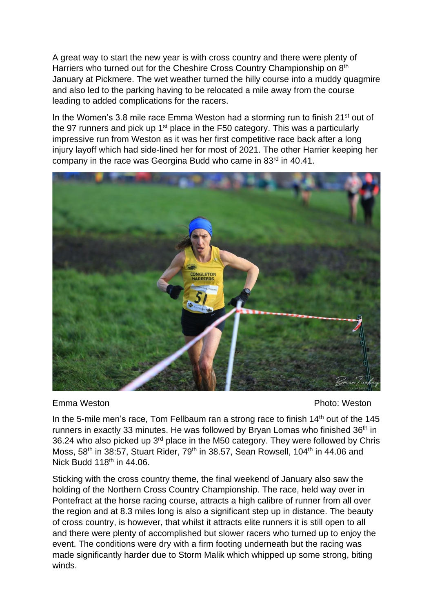A great way to start the new year is with cross country and there were plenty of Harriers who turned out for the Cheshire Cross Country Championship on 8<sup>th</sup> January at Pickmere. The wet weather turned the hilly course into a muddy quagmire and also led to the parking having to be relocated a mile away from the course leading to added complications for the racers.

In the Women's 3.8 mile race Emma Weston had a storming run to finish 21<sup>st</sup> out of the 97 runners and pick up  $1<sup>st</sup>$  place in the F50 category. This was a particularly impressive run from Weston as it was her first competitive race back after a long injury layoff which had side-lined her for most of 2021. The other Harrier keeping her company in the race was Georgina Budd who came in 83<sup>rd</sup> in 40.41.



Emma Weston Photo: Weston

In the 5-mile men's race. Tom Fellbaum ran a strong race to finish  $14<sup>th</sup>$  out of the 145 runners in exactly 33 minutes. He was followed by Bryan Lomas who finished 36<sup>th</sup> in 36.24 who also picked up 3<sup>rd</sup> place in the M50 category. They were followed by Chris Moss, 58<sup>th</sup> in 38:57, Stuart Rider, 79<sup>th</sup> in 38.57, Sean Rowsell, 104<sup>th</sup> in 44.06 and Nick Budd  $118<sup>th</sup>$  in 44.06.

Sticking with the cross country theme, the final weekend of January also saw the holding of the Northern Cross Country Championship. The race, held way over in Pontefract at the horse racing course, attracts a high calibre of runner from all over the region and at 8.3 miles long is also a significant step up in distance. The beauty of cross country, is however, that whilst it attracts elite runners it is still open to all and there were plenty of accomplished but slower racers who turned up to enjoy the event. The conditions were dry with a firm footing underneath but the racing was made significantly harder due to Storm Malik which whipped up some strong, biting winds.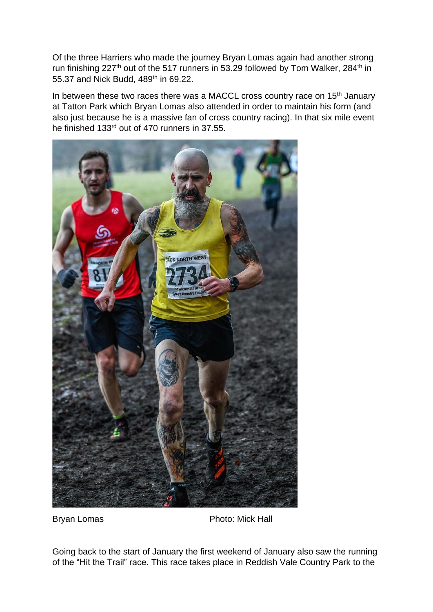Of the three Harriers who made the journey Bryan Lomas again had another strong run finishing  $227<sup>th</sup>$  out of the 517 runners in 53.29 followed by Tom Walker, 284<sup>th</sup> in 55.37 and Nick Budd, 489<sup>th</sup> in 69.22.

In between these two races there was a MACCL cross country race on 15<sup>th</sup> January at Tatton Park which Bryan Lomas also attended in order to maintain his form (and also just because he is a massive fan of cross country racing). In that six mile event he finished 133<sup>rd</sup> out of 470 runners in 37.55.



Bryan Lomas **Photo: Mick Hall** 

Going back to the start of January the first weekend of January also saw the running of the "Hit the Trail" race. This race takes place in Reddish Vale Country Park to the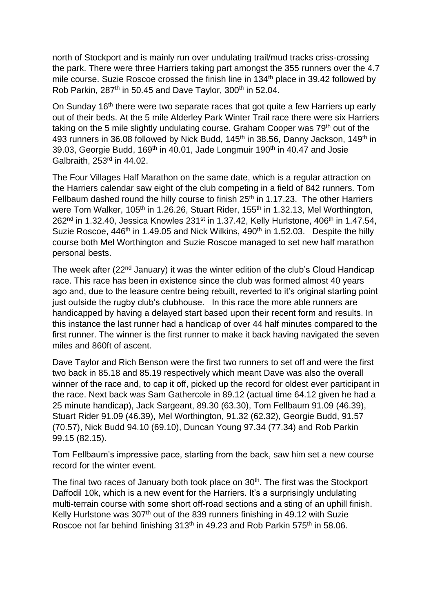north of Stockport and is mainly run over undulating trail/mud tracks criss-crossing the park. There were three Harriers taking part amongst the 355 runners over the 4.7 mile course. Suzie Roscoe crossed the finish line in 134<sup>th</sup> place in 39.42 followed by Rob Parkin,  $287<sup>th</sup>$  in 50.45 and Dave Taylor,  $300<sup>th</sup>$  in 52.04.

On Sunday 16<sup>th</sup> there were two separate races that got quite a few Harriers up early out of their beds. At the 5 mile Alderley Park Winter Trail race there were six Harriers taking on the 5 mile slightly undulating course. Graham Cooper was 79<sup>th</sup> out of the 493 runners in 36.08 followed by Nick Budd, 145<sup>th</sup> in 38.56, Danny Jackson, 149<sup>th</sup> in 39.03, Georgie Budd, 169<sup>th</sup> in 40.01, Jade Longmuir 190<sup>th</sup> in 40.47 and Josie Galbraith, 253rd in 44.02.

The Four Villages Half Marathon on the same date, which is a regular attraction on the Harriers calendar saw eight of the club competing in a field of 842 runners. Tom Fellbaum dashed round the hilly course to finish  $25<sup>th</sup>$  in 1.17.23. The other Harriers were Tom Walker, 105<sup>th</sup> in 1.26.26, Stuart Rider, 155<sup>th</sup> in 1.32.13, Mel Worthington, 262<sup>nd</sup> in 1.32.40, Jessica Knowles 231<sup>st</sup> in 1.37.42, Kelly Hurlstone, 406<sup>th</sup> in 1.47.54, Suzie Roscoe,  $446<sup>th</sup>$  in 1.49.05 and Nick Wilkins,  $490<sup>th</sup>$  in 1.52.03. Despite the hilly course both Mel Worthington and Suzie Roscoe managed to set new half marathon personal bests.

The week after (22<sup>nd</sup> January) it was the winter edition of the club's Cloud Handicap race. This race has been in existence since the club was formed almost 40 years ago and, due to the leasure centre being rebuilt, reverted to it's original starting point just outside the rugby club's clubhouse. In this race the more able runners are handicapped by having a delayed start based upon their recent form and results. In this instance the last runner had a handicap of over 44 half minutes compared to the first runner. The winner is the first runner to make it back having navigated the seven miles and 860ft of ascent.

Dave Taylor and Rich Benson were the first two runners to set off and were the first two back in 85.18 and 85.19 respectively which meant Dave was also the overall winner of the race and, to cap it off, picked up the record for oldest ever participant in the race. Next back was Sam Gathercole in 89.12 (actual time 64.12 given he had a 25 minute handicap), Jack Sargeant, 89.30 (63.30), Tom Fellbaum 91.09 (46.39), Stuart Rider 91.09 (46.39), Mel Worthington, 91.32 (62.32), Georgie Budd, 91.57 (70.57), Nick Budd 94.10 (69.10), Duncan Young 97.34 (77.34) and Rob Parkin 99.15 (82.15).

Tom Fellbaum's impressive pace, starting from the back, saw him set a new course record for the winter event.

The final two races of January both took place on 30<sup>th</sup>. The first was the Stockport Daffodil 10k, which is a new event for the Harriers. It's a surprisingly undulating multi-terrain course with some short off-road sections and a sting of an uphill finish. Kelly Hurlstone was 307<sup>th</sup> out of the 839 runners finishing in 49.12 with Suzie Roscoe not far behind finishing 313<sup>th</sup> in 49.23 and Rob Parkin 575<sup>th</sup> in 58.06.